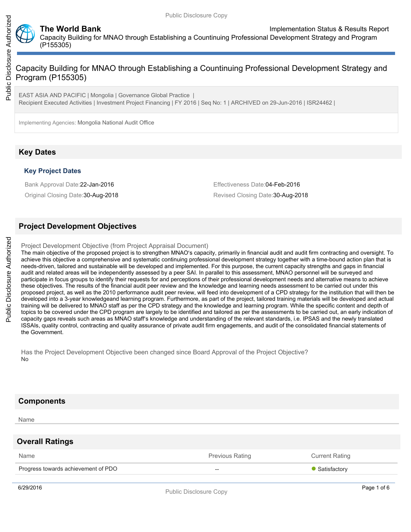

**The World Bank Implementation Status & Results Report** Capacity Building for MNAO through Establishing a Countinuing Professional Development Strategy and Program (P155305)

Public Disclosure Authorized

Public Disclosure Authorized

# Capacity Building for MNAO through Establishing a Countinuing Professional Development Strategy and Program (P155305)

EAST ASIA AND PACIFIC | Mongolia | Governance Global Practice | Recipient Executed Activities | Investment Project Financing | FY 2016 | Seq No: 1 | ARCHIVED on 29-Jun-2016 | ISR24462 |

Implementing Agencies: Mongolia National Audit Office

# **Key Dates**

## **Key Project Dates**

Bank Approval Date:22-Jan-2016 **Effectiveness** Date:04-Feb-2016

Original Closing Date: 30-Aug-2018 **Revised Closing Date: 30-Aug-2018** Revised Closing Date: 30-Aug-2018

## **Project Development Objectives**

Project Development Objective (from Project Appraisal Document)

The main objective of the proposed project is to strengthen MNAO's capacity, primarily in financial audit and audit firm contracting and oversight. To achieve this objective a comprehensive and systematic continuing professional development strategy together with a time-bound action plan that is needs-driven, tailored and sustainable will be developed and implemented. For this purpose, the current capacity strengths and gaps in financial audit and related areas will be independently assessed by a peer SAI. In parallel to this assessment, MNAO personnel will be surveyed and participate in focus groups to identify their requests for and perceptions of their professional development needs and alternative means to achieve these objectives. The results of the financial audit peer review and the knowledge and learning needs assessment to be carried out under this proposed project, as well as the 2010 performance audit peer review, will feed into development of a CPD strategy for the institution that will then be developed into a 3-year knowledgeand learning program. Furthermore, as part of the project, tailored training materials will be developed and actual training will be delivered to MNAO staff as per the CPD strategy and the knowledge and learning program. While the specific content and depth of topics to be covered under the CPD program are largely to be identified and tailored as per the assessments to be carried out, an early indication of capacity gaps reveals such areas as MNAO staff's knowledge and understanding of the relevant standards, i.e. IPSAS and the newly translated ISSAIs, quality control, contracting and quality assurance of private audit firm engagements, and audit of the consolidated financial statements of the Government.

Has the Project Development Objective been changed since Board Approval of the Project Objective? No

## **Components**

Name

## **Overall Ratings**

| Name                                | Previous Rating | <b>Current Rating</b> |
|-------------------------------------|-----------------|-----------------------|
| Progress towards achievement of PDO | $- -$           | • Satisfactory        |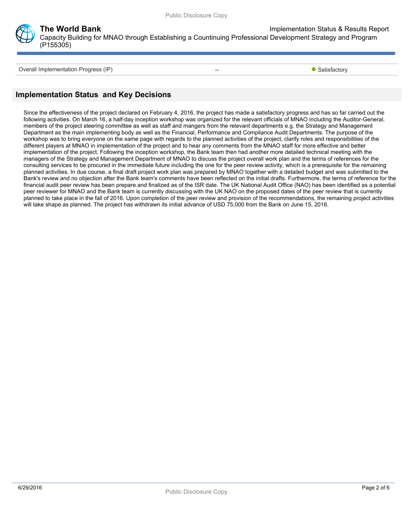

**The World Bank Implementation Status & Results Report** 

Capacity Building for MNAO through Establishing a Countinuing Professional Development Strategy and Program (P155305)

Overall Implementation Progress (IP)  $\overline{\phantom{0}}$  Satisfactory

# **Implementation Status and Key Decisions**

Since the effectiveness of the project declared on February 4, 2016, the project has made a satisfactory progress and has so far carried out the following activities. On March 16, a half-day inception workshop was organized for the relevant officials of MNAO including the Auditor-General, members of the project steering committee as well as staff and mangers from the relevant departments e.g. the Strategy and Management Department as the main implementing body as well as the Financial, Performance and Compliance Audit Departments. The purpose of the workshop was to bring everyone on the same page with regards to the planned activities of the project, clarify roles and responsibilities of the different players at MNAO in implementation of the project and to hear any comments from the MNAO staff for more effective and better implementation of the project. Following the inception workshop, the Bank team then had another more detailed technical meeting with the managers of the Strategy and Management Department of MNAO to discuss the project overall work plan and the terms of references for the consulting services to be procured in the immediate future including the one for the peer review activity, which is a prerequisite for the remaining planned activities. In due course, a final draft project work plan was prepared by MNAO together with a detailed budget and was submitted to the Bank's review and no objection after the Bank team's comments have been reflected on the initial drafts. Furthermore, the terms of reference for the financial audit peer review has been prepare and finalized as of the ISR date. The UK National Audit Office (NAO) has been identified as a potential peer reviewer for MNAO and the Bank team is currently discussing with the UK NAO on the proposed dates of the peer review that is currently planned to take place in the fall of 2016. Upon completion of the peer review and provision of the recommendations, the remaining project activities will take shape as planned. The project has withdrawn its initial advance of USD 75,000 from the Bank on June 15, 2016.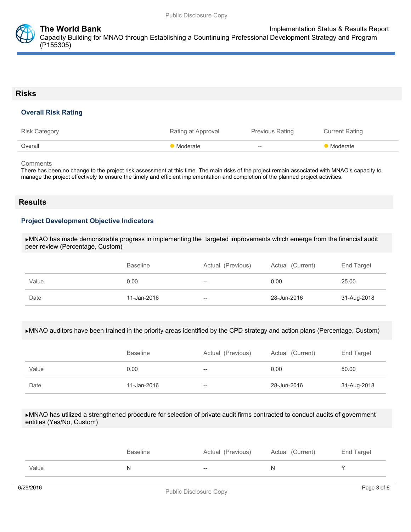

## **Risks**

### **Overall Risk Rating**

| <b>Risk Category</b> | Rating at Approval | Previous Rating | <b>Current Rating</b> |
|----------------------|--------------------|-----------------|-----------------------|
| Overall              | Moderate           | $--$            | Moderate              |

**Comments** 

There has been no change to the project risk assessment at this time. The main risks of the project remain associated with MNAO's capacity to manage the project effectively to ensure the timely and efficient implementation and completion of the planned project activities.

## **Results**

### **Project Development Objective Indicators**

MNAO has made demonstrable progress in implementing the targeted improvements which emerge from the financial audit peer review (Percentage, Custom)

|       | <b>Baseline</b> | Actual (Previous) | Actual (Current) | End Target  |
|-------|-----------------|-------------------|------------------|-------------|
| Value | 0.00            | $- -$             | 0.00             | 25.00       |
| Date  | 11-Jan-2016     | $- -$             | 28-Jun-2016      | 31-Aug-2018 |

#### MNAO auditors have been trained in the priority areas identified by the CPD strategy and action plans (Percentage, Custom)

|       | <b>Baseline</b> | Actual (Previous) | Actual (Current) | End Target  |
|-------|-----------------|-------------------|------------------|-------------|
| Value | 0.00            | $- -$             | 0.00             | 50.00       |
| Date  | 11-Jan-2016     | $- -$             | 28-Jun-2016      | 31-Aug-2018 |

#### MNAO has utilized a strengthened procedure for selection of private audit firms contracted to conduct audits of government entities (Yes/No, Custom)

|       | Baseline | Actual (Previous) | Actual (Current) | End Target |
|-------|----------|-------------------|------------------|------------|
| Value | N        | $- -$             |                  |            |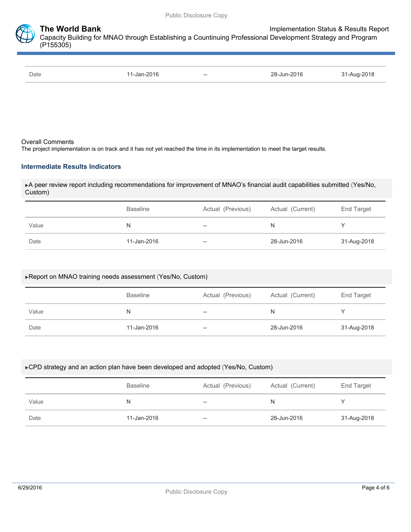

| Date<br>-Jan-2016<br>$--$ | $28-$<br>-Jun-2016 | 30.47<br>$\sim$ $\Delta$ <sub>110</sub> - $\sim$ |
|---------------------------|--------------------|--------------------------------------------------|
|---------------------------|--------------------|--------------------------------------------------|

#### Overall Comments

The project implementation is on track and it has not yet reached the time in its implementation to meet the target results.

### **Intermediate Results Indicators**

A peer review report including recommendations for improvement of MNAO's financial audit capabilities submitted (Yes/No, Custom)

|       | <b>Baseline</b> | Actual (Previous)                              | Actual (Current) | End Target  |
|-------|-----------------|------------------------------------------------|------------------|-------------|
| Value | N               | $\hspace{0.1mm}-\hspace{0.1mm}-\hspace{0.1mm}$ | N                |             |
| Date  | 11-Jan-2016     | $\hspace{0.1mm}-\hspace{0.1mm}-\hspace{0.1mm}$ | 28-Jun-2016      | 31-Aug-2018 |

### Report on MNAO training needs assessment (Yes/No, Custom)

|       | <b>Baseline</b> | Actual (Previous) | Actual (Current) | End Target  |
|-------|-----------------|-------------------|------------------|-------------|
| Value | N               | --                | N                |             |
| Date  | 11-Jan-2016     | $- -$             | 28-Jun-2016      | 31-Aug-2018 |

#### ▶ CPD strategy and an action plan have been developed and adopted (Yes/No, Custom)

|       | Actual (Previous)<br><b>Baseline</b> |       | Actual (Current) | End Target  |
|-------|--------------------------------------|-------|------------------|-------------|
| Value | N                                    | $-\!$ | N                |             |
| Date  | 11-Jan-2016                          | $-\!$ | 28-Jun-2016      | 31-Aug-2018 |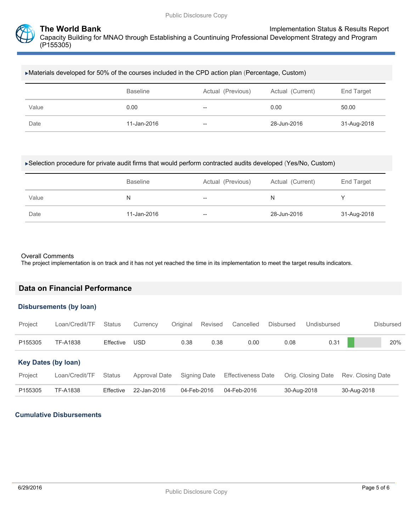

#### Materials developed for 50% of the courses included in the CPD action plan (Percentage, Custom)

|       | <b>Baseline</b> | Actual (Previous) | Actual (Current) | End Target  |
|-------|-----------------|-------------------|------------------|-------------|
| Value | 0.00            | $- -$             | 0.00             | 50.00       |
| Date  | 11-Jan-2016     | $- -$             | 28-Jun-2016      | 31-Aug-2018 |

### Selection procedure for private audit firms that would perform contracted audits developed (Yes/No, Custom)

|       | <b>Baseline</b> | Actual (Previous)        | Actual (Current) | <b>End Target</b> |
|-------|-----------------|--------------------------|------------------|-------------------|
| Value | N               | $\overline{\phantom{a}}$ | N                |                   |
| Date  | 11-Jan-2016     | $- -$                    | 28-Jun-2016      | 31-Aug-2018       |

#### Overall Comments

**Data on Financial Performance**

The project implementation is on track and it has not yet reached the time in its implementation to meet the target results indicators.

|                            | <b>Disbursements (by loan)</b> |               |                      |          |                     |                           |                  |                    |                   |
|----------------------------|--------------------------------|---------------|----------------------|----------|---------------------|---------------------------|------------------|--------------------|-------------------|
| Project                    | Loan/Credit/TF                 | <b>Status</b> | Currency             | Original | Revised             | Cancelled                 | <b>Disbursed</b> | Undisbursed        | <b>Disbursed</b>  |
| P <sub>155305</sub>        | <b>TF-A1838</b>                | Effective     | <b>USD</b>           | 0.38     | 0.38                | 0.00                      | 0.08             | 0.31               | 20%               |
| <b>Key Dates (by loan)</b> |                                |               |                      |          |                     |                           |                  |                    |                   |
| Project                    | Loan/Credit/TF                 | <b>Status</b> | <b>Approval Date</b> |          | <b>Signing Date</b> | <b>Effectiveness Date</b> |                  | Orig. Closing Date | Rev. Closing Date |
| P155305                    | TF-A1838                       | Effective     | 22-Jan-2016          |          | 04-Feb-2016         | 04-Feb-2016               |                  | 30-Aug-2018        | 30-Aug-2018       |

## **Cumulative Disbursements**